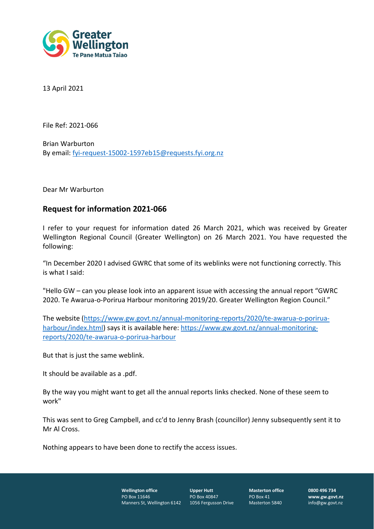

13 April 2021

File Ref: 2021-066

Brian Warburton By email: [fyi-request-15002-1597eb15@requests.fyi.org.nz](mailto:xxxxxxxxxxxxxxxxxxxxxxxxxx@xxxxxxxx.xxx.xxx.xx)

Dear Mr Warburton

## **Request for information 2021-066**

I refer to your request for information dated 26 March 2021, which was received by Greater Wellington Regional Council (Greater Wellington) on 26 March 2021. You have requested the following:

"In December 2020 I advised GWRC that some of its weblinks were not functioning correctly. This is what I said:

"Hello GW – can you please look into an apparent issue with accessing the annual report "GWRC 2020. Te Awarua-o-Porirua Harbour monitoring 2019/20. Greater Wellington Region Council."

The website [\(https://www.gw.govt.nz/annual-monitoring-reports/2020/te-awarua-o-porirua](https://www.gw.govt.nz/annual-monitoring-reports/2020/te-awarua-o-porirua-harbour/index.html)[harbour/index.html\)](https://www.gw.govt.nz/annual-monitoring-reports/2020/te-awarua-o-porirua-harbour/index.html) says it is available here: [https://www.gw.govt.nz/annual-monitoring](https://www.gw.govt.nz/annual-monitoring-reports/2020/te-awarua-o-porirua-harbour)[reports/2020/te-awarua-o-porirua-harbour](https://www.gw.govt.nz/annual-monitoring-reports/2020/te-awarua-o-porirua-harbour)

But that is just the same weblink.

It should be available as a .pdf.

By the way you might want to get all the annual reports links checked. None of these seem to work"

This was sent to Greg Campbell, and cc'd to Jenny Brash (councillor) Jenny subsequently sent it to Mr Al Cross.

Nothing appears to have been done to rectify the access issues.

**Wellington office** PO Box 11646 Manners St, Wellington 6142

**Upper Hutt** PO Box 40847 1056 Fergusson Drive **Masterton office** PO Box 41 Masterton 5840

**0800 496 734 www.gw.govt.nz** info@gw.govt.nz